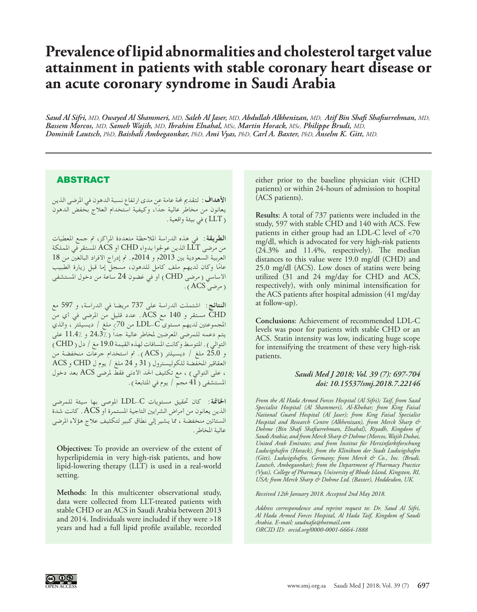## **Prevalence of lipid abnormalities and cholesterol target value attainment in patients with stable coronary heart disease or an acute coronary syndrome in Saudi Arabia**

*Saud Al Sifri, MD, Owayed Al Shammeri, MD, Saleh Al Jaser, MD, Abdullah Alkhenizan, MD, Atif Bin Shafi Shafiurrehman, MD, Bassem Morcos, MD, Sameh Wajih, MD, Ibrahim Elnahal, MSc, Martin Horack, MSc, Philippe Brudi, MD, Dominik Lautsch, PhD, Baishali Ambegaonkar, PhD, Ami Vyas, PhD, Carl A. Baxter, PhD, Anselm K. Gitt, MD.* 

## ABSTRACT

**األهداف:** لتقدمي حملة عامة عن مدى ارتفاع نسبة الدهون في املرضى الذين ً يعانون من مخاطر عالية جدا، وكيفية استخدام العالج بخفض الدهون LLT )في بيئة واقعية.

**الطريقة:** في هذه الدراسة املالحظة متعددة املراكز، مت جمع املعطيات من مرضى LLT الذين عوجلوا بدواء CHD أو ACS املستقر في اململكة العربية السعودية بني 2013م و 2014م. مت إدراج األفراد البالغني من 18 ًا وكان لديهم ملف كامل للدهون، مسجل إما قبل زيارة الطبيب عام الأساسي (مرضى CHD ) أو في غضون 24 ساعة من دخول المستشفى )مرضى ACS).

**النتائج:** اشتملت الدراسة على 737 مريضا في الدراسة، و 597 مع CHD مستقر و 140 مع ACS. عدد قليل من املرضى في أي من املجموعتني لديهم مستوى C-LDL من 70< ملغ / ديسيلتر ، والذي يتم دعمه للمرضى المعرضين لمخاطر عالية جداً ( 24.3٪ و 11.4٪ على التوالي ) . المتوسط وكانت المسافات لهذه القيمة 19.0 مغ / دل ( CHD ) و 25.0 ملغ / ديسيلتر )ACS). مت استخدام جرعات منخفضة من العقاقير املخفضة للكوليسترول )31 و 24 ملغ / يوم ل CHD و ACS ، على التوالي ) ، مع تكثيف الحد الأدنى فقط لمرضى ACS بعد دخول المستشفى ( 41 مجم / يوم في المتابعة ) .

**اخلامتة:** كان حتقيق مستويات C-LDL املوصى بها سيئة للمرضى الذين يعانون من أمراض الشرايني التاجية املستمرة أو ACS. كانت شدة الستاتني منخفضة ، مما يشير إلى نطاق كبير لتكثيف عالج هؤالء املرضى عالية املخاطر.

**Objectives:** To provide an overview of the extent of hyperlipidemia in very high-risk patients, and how lipid-lowering therapy (LLT) is used in a real-world setting.

**Methods**: In this multicenter observational study, data were collected from LLT-treated patients with stable CHD or an ACS in Saudi Arabia between 2013 and 2014. Individuals were included if they were >18 years and had a full lipid profile available, recorded

either prior to the baseline physician visit (CHD patients) or within 24-hours of admission to hospital (ACS patients).

**Results**: A total of 737 patients were included in the study, 597 with stable CHD and 140 with ACS. Few patients in either group had an LDL-C level of <70 mg/dl, which is advocated for very high-risk patients (24.3% and 11.4%, respectively). The median distances to this value were 19.0 mg/dl (CHD) and 25.0 mg/dl (ACS). Low doses of statins were being utilized (31 and 24 mg/day for CHD and ACS, respectively), with only minimal intensification for the ACS patients after hospital admission (41 mg/day at follow-up).

**Conclusions**: Achievement of recommended LDL-C levels was poor for patients with stable CHD or an ACS. Statin intensity was low, indicating huge scope for intensifying the treatment of these very high-risk patients.

## *Saudi Med J 2018; Vol. 39 (7): 697-704 doi: 10.15537/smj.2018.7.22146*

*From the Al Hada Armed Forces Hospital (Al Sifri); Taif, from Saad Specialist Hospital (Al Shammeri), Al-Khobar; from King Faisal National Guard Hospital (Al Jaser); from King Faisal Specialist Hospital and Research Centre (Alkhenizan), from Merck Sharp & Dohme (Bin Shafi Shafiurrehman, Elnahal), Riyadh, Kingdom of Saudi Arabia; and from Merck Sharp & Dohme (Morcos, Wajih Dubai, United Arab Emirates; and from Institut für Herzinfarktforschung Ludwigshafen (Horack), from the Klinikum der Stadt Ludwigshafen (Gitt), Ludwigshafen, Germany; from Merck & Co., Inc. (Brudi, Lautsch, Ambegaonkar); from the Department of Pharmacy Practice (Vyas), College of Pharmacy, University of Rhode Island, Kingston, RI, USA; from Merck Sharp & Dohme Ltd. (Baxter), Hoddesdon, UK.*

*Received 12th January 2018. Accepted 2nd May 2018.*

*Address correspondence and reprint request to: Dr. Saud Al Sifri, Al Hada Armed Forces Hospital, Al Hada Taif, Kingdom of Saudi Arabia. E-mail: saudnafa@hotmail.com [ORCID ID: orcid.org/0000-0001-6664-1888](http://ORCID ID:  orcid.org/0000-0001-6664-1888)*

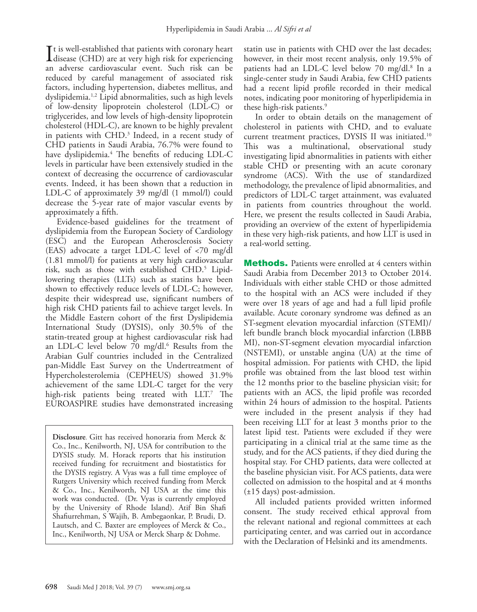It is well-established that patients with coronary heart<br>disease (CHD) are at very high risk for experiencing<br>an advance cardiomacular quant. Such risk can be  $\mathsf{T}$ t is well-established that patients with coronary heart an adverse cardiovascular event. Such risk can be reduced by careful management of associated risk factors, including hypertension, diabetes mellitus, and dyslipidemia[.1](#page-6-0)[,2](#page-6-1) Lipid abnormalities, such as high levels of low-density lipoprotein cholesterol (LDL-C) or triglycerides, and low levels of high-density lipoprotein cholesterol (HDL-C), are known to be highly prevalent in patients with CHD.[3](#page-6-2) Indeed, in a recent study of CHD patients in Saudi Arabia, 76.7% were found to have dyslipidemia[.4](#page-6-3) The benefits of reducing LDL-C levels in particular have been extensively studied in the context of decreasing the occurrence of cardiovascular events. Indeed, it has been shown that a reduction in LDL-C of approximately 39 mg/dl (1 mmol/l) could decrease the 5-year rate of major vascular events by approximately a fifth.

Evidence-based guidelines for the treatment of dyslipidemia from the European Society of Cardiology (ESC) and the European Atherosclerosis Society (EAS) advocate a target LDL-C level of <70 mg/dl (1.81 mmol/l) for patients at very high cardiovascular risk, such as those with established CHD.[5](#page-6-4) Lipidlowering therapies (LLTs) such as statins have been shown to effectively reduce levels of LDL-C; however, despite their widespread use, significant numbers of high risk CHD patients fail to achieve target levels. In the Middle Eastern cohort of the first Dyslipidemia International Study (DYSIS), only 30.5% of the statin-treated group at highest cardiovascular risk had an LDL-C level below 70 mg/dl.<sup>[6](#page-7-0)</sup> Results from the Arabian Gulf countries included in the Centralized pan-Middle East Survey on the Undertreatment of Hypercholesterolemia (CEPHEUS) showed 31.9% achievement of the same LDL-C target for the very high-risk patients being treated with LLT.[7](#page-7-1) The EUROASPIRE studies have demonstrated increasing

**Disclosure**. Gitt has received honoraria from Merck & Co., Inc., Kenilworth, NJ, USA for contribution to the DYSIS study. M. Horack reports that his institution received funding for recruitment and biostatistics for the DYSIS registry. A Vyas was a full time employee of Rutgers University which received funding from Merck & Co., Inc., Kenilworth, NJ USA at the time this work was conducted. (Dr. Vyas is currently employed by the University of Rhode Island). Atif Bin Shafi Shafiurrehman, S Wajih, B. Ambegaonkar, P. Brudi, D. Lautsch, and C. Baxter are employees of Merck & Co., Inc., Kenilworth, NJ USA or Merck Sharp & Dohme.

statin use in patients with CHD over the last decades; however, in their most recent analysis, only 19.5% of patients had an LDL-C level below 70 mg/dl.<sup>8</sup> In a single-center study in Saudi Arabia, few CHD patients had a recent lipid profile recorded in their medical notes, indicating poor monitoring of hyperlipidemia in these high-risk patients.<sup>9</sup>

In order to obtain details on the management of cholesterol in patients with CHD, and to evaluate current treatment practices, DYSIS II was initiated[.10](#page-7-4) This was a multinational, observational study investigating lipid abnormalities in patients with either stable CHD or presenting with an acute coronary syndrome (ACS). With the use of standardized methodology, the prevalence of lipid abnormalities, and predictors of LDL-C target attainment, was evaluated in patients from countries throughout the world. Here, we present the results collected in Saudi Arabia, providing an overview of the extent of hyperlipidemia in these very high-risk patients, and how LLT is used in a real-world setting.

**Methods.** Patients were enrolled at 4 centers within Saudi Arabia from December 2013 to October 2014. Individuals with either stable CHD or those admitted to the hospital with an ACS were included if they were over 18 years of age and had a full lipid profile available. Acute coronary syndrome was defined as an ST-segment elevation myocardial infarction (STEMI)/ left bundle branch block myocardial infarction (LBBB MI), non-ST-segment elevation myocardial infarction (NSTEMI), or unstable angina (UA) at the time of hospital admission. For patients with CHD, the lipid profile was obtained from the last blood test within the 12 months prior to the baseline physician visit; for patients with an ACS, the lipid profile was recorded within 24 hours of admission to the hospital. Patients were included in the present analysis if they had been receiving LLT for at least 3 months prior to the latest lipid test. Patients were excluded if they were participating in a clinical trial at the same time as the study, and for the ACS patients, if they died during the hospital stay. For CHD patients, data were collected at the baseline physician visit. For ACS patients, data were collected on admission to the hospital and at 4 months (±15 days) post-admission.

All included patients provided written informed consent. The study received ethical approval from the relevant national and regional committees at each participating center, and was carried out in accordance with the Declaration of Helsinki and its amendments.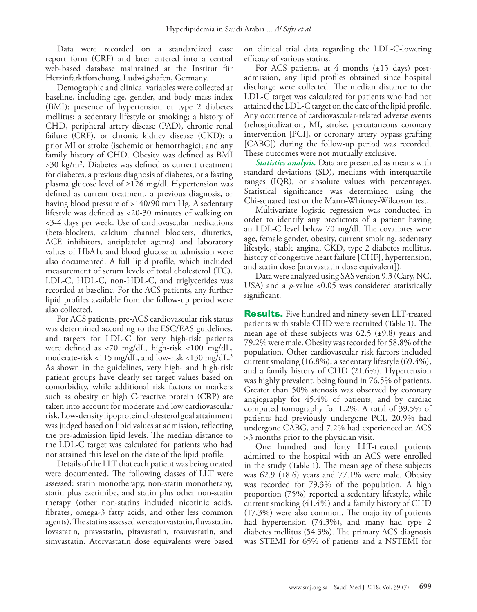Data were recorded on a standardized case report form (CRF) and later entered into a central web-based database maintained at the Institut für Herzinfarktforschung, Ludwigshafen, Germany.

Demographic and clinical variables were collected at baseline, including age, gender, and body mass index (BMI); presence of hypertension or type 2 diabetes mellitus; a sedentary lifestyle or smoking; a history of CHD, peripheral artery disease (PAD), chronic renal failure (CRF), or chronic kidney disease (CKD); a prior MI or stroke (ischemic or hemorrhagic); and any family history of CHD. Obesity was defined as BMI >30 kg/m². Diabetes was defined as current treatment for diabetes, a previous diagnosis of diabetes, or a fasting plasma glucose level of  $\geq$ 126 mg/dl. Hypertension was defined as current treatment, a previous diagnosis, or having blood pressure of >140/90 mm Hg. A sedentary lifestyle was defined as <20-30 minutes of walking on <3-4 days per week. Use of cardiovascular medications (beta-blockers, calcium channel blockers, diuretics, ACE inhibitors, antiplatelet agents) and laboratory values of HbA1c and blood glucose at admission were also documented. A full lipid profile, which included measurement of serum levels of total cholesterol (TC), LDL-C, HDL-C, non-HDL-C, and triglycerides was recorded at baseline. For the ACS patients, any further lipid profiles available from the follow-up period were also collected.

For ACS patients, pre-ACS cardiovascular risk status was determined according to the ESC/EAS guidelines, and targets for LDL-C for very high-risk patients were defined as <70 mg/dL, high-risk <100 mg/dL, moderate-risk <115 mg/dL, and low-risk <130 mg/dL.5 As shown in the guidelines, very high- and high-risk patient groups have clearly set target values based on comorbidity, while additional risk factors or markers such as obesity or high C-reactive protein (CRP) are taken into account for moderate and low cardiovascular risk. Low-density lipoprotein cholesterol goal attainment was judged based on lipid values at admission, reflecting the pre-admission lipid levels. The median distance to the LDL-C target was calculated for patients who had not attained this level on the date of the lipid profile.

Details of the LLT that each patient was being treated were documented. The following classes of LLT were assessed: statin monotherapy, non-statin monotherapy, statin plus ezetimibe, and statin plus other non-statin therapy (other non-statins included nicotinic acids, fibrates, omega-3 fatty acids, and other less common agents). The statins assessed were atorvastatin, fluvastatin, lovastatin, pravastatin, pitavastatin, rosuvastatin, and simvastatin. Atorvastatin dose equivalents were based

on clinical trial data regarding the LDL-C-lowering efficacy of various statins.

For ACS patients, at 4 months  $(\pm 15 \text{ days})$  postadmission, any lipid profiles obtained since hospital discharge were collected. The median distance to the LDL-C target was calculated for patients who had not attained the LDL-C target on the date of the lipid profile. Any occurrence of cardiovascular-related adverse events (rehospitalization, MI, stroke, percutaneous coronary intervention [PCI], or coronary artery bypass grafting [CABG]) during the follow-up period was recorded. These outcomes were not mutually exclusive.

*Statistics analysis.* Data are presented as means with standard deviations (SD), medians with interquartile ranges (IQR), or absolute values with percentages. Statistical significance was determined using the Chi-squared test or the Mann-Whitney-Wilcoxon test.

Multivariate logistic regression was conducted in order to identify any predictors of a patient having an LDL-C level below 70 mg/dl. The covariates were age, female gender, obesity, current smoking, sedentary lifestyle, stable angina, CKD, type 2 diabetes mellitus, history of congestive heart failure [CHF], hypertension, and statin dose [atorvastatin dose equivalent]).

Data were analyzed using SAS version 9.3 (Cary, NC, USA) and a *p*-value <0.05 was considered statistically significant.

**Results.** Five hundred and ninety-seven LLT-treated patients with stable CHD were recruited (**Table 1**). The mean age of these subjects was  $62.5$  ( $\pm$ 9.8) years and 79.2% were male. Obesity was recorded for 58.8% of the population. Other cardiovascular risk factors included current smoking (16.8%), a sedentary lifestyle (69.4%), and a family history of CHD (21.6%). Hypertension was highly prevalent, being found in 76.5% of patients. Greater than 50% stenosis was observed by coronary angiography for 45.4% of patients, and by cardiac computed tomography for 1.2%. A total of 39.5% of patients had previously undergone PCI, 20.9% had undergone CABG, and 7.2% had experienced an ACS >3 months prior to the physician visit.

One hundred and forty LLT-treated patients admitted to the hospital with an ACS were enrolled in the study (**Table 1**). The mean age of these subjects was 62.9 ( $\pm 8.6$ ) years and 77.1% were male. Obesity was recorded for 79.3% of the population. A high proportion (75%) reported a sedentary lifestyle, while current smoking (41.4%) and a family history of CHD (17.3%) were also common. The majority of patients had hypertension (74.3%), and many had type 2 diabetes mellitus (54.3%). The primary ACS diagnosis was STEMI for 65% of patients and a NSTEMI for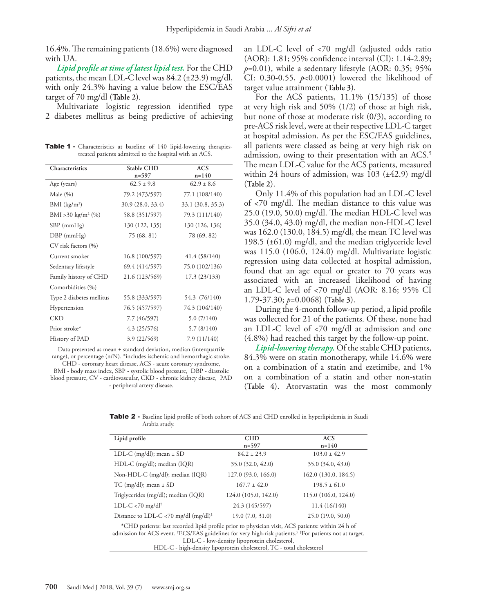16.4%. The remaining patients (18.6%) were diagnosed with UA.

*Lipid profile at time of latest lipid test.* For the CHD patients, the mean LDL-C level was  $84.2$  ( $\pm$ 23.9) mg/dl, with only 24.3% having a value below the ESC/EAS target of 70 mg/dl (**Table 2**).

Multivariate logistic regression identified type 2 diabetes mellitus as being predictive of achieving

Table 1 - Characteristics at baseline of 140 lipid-lowering therapiestreated patients admitted to the hospital with an ACS.

| Characteristics                | Stable CHD        | <b>ACS</b>        |
|--------------------------------|-------------------|-------------------|
|                                | $n=597$           | $n = 140$         |
| Age (years)                    | $62.5 \pm 9.8$    | $62.9 \pm 8.6$    |
| Male $(\% )$                   | 79.2 (473/597)    | 77.1 (108/140)    |
| $BMI$ (kg/m <sup>2</sup> )     | 30.9 (28.0, 33.4) | 33.1 (30.8, 35.3) |
| BMI > 30 kg/m <sup>2</sup> (%) | 58.8 (351/597)    | 79.3 (111/140)    |
| $SBP$ (mm $Hg$ )               | 130 (122, 135)    | 130 (126, 136)    |
| $DBP$ (mmHg)                   | 75 (68, 81)       | 78 (69, 82)       |
| CV risk factors (%)            |                   |                   |
| Current smoker                 | 16.8 (100/597)    | 41.4 (58/140)     |
| Sedentary lifestyle            | 69.4 (414/597)    | 75.0 (102/136)    |
| Family history of CHD          | 21.6 (123/569)    | 17.3 (23/133)     |
| Comorbidities (%)              |                   |                   |
| Type 2 diabetes mellitus       | 55.8 (333/597)    | 54.3 (76/140)     |
| Hypertension                   | 76.5 (457/597)    | 74.3 (104/140)    |
| <b>CKD</b>                     | 7.7 (46/597)      | 5.0(7/140)        |
| Prior stroke*                  | 4.3(25/576)       | 5.7(8/140)        |
| History of PAD                 | 3.9 (22/569)      | 7.9(11/140)       |

Data presented as mean ± standard deviation, median (interquartile range), or percentage (n/N). \*includes ischemic and hemorrhagic stroke. CHD - coronary heart disease, ACS - acute coronary syndrome, BMI - body mass index, SBP - systolic blood pressure, DBP - diastolic blood pressure, CV - cardiovascular, CKD - chronic kidney disease, PAD - peripheral artery disease.

an LDL-C level of <70 mg/dl (adjusted odds ratio (AOR): 1.81; 95% confidence interval (CI): 1.14-2.89;  $p=0.01$ ), while a sedentary lifestyle (AOR: 0.35; 95%) CI: 0.30-0.55, *p*<0.0001) lowered the likelihood of target value attainment (**Table 3**).

For the ACS patients, 11.1% (15/135) of those at very high risk and 50% (1/2) of those at high risk, but none of those at moderate risk (0/3), according to pre-ACS risk level, were at their respective LDL-C target at hospital admission. As per the ESC/EAS guidelines, all patients were classed as being at very high risk on admission, owing to their presentation with an ACS.<sup>5</sup> The mean LDL-C value for the ACS patients, measured within 24 hours of admission, was  $103$  ( $\pm$ 42.9) mg/dl (**Table 2**).

Only 11.4% of this population had an LDL-C level of <70 mg/dl. The median distance to this value was 25.0 (19.0, 50.0) mg/dl. The median HDL-C level was 35.0 (34.0, 43.0) mg/dl, the median non-HDL-C level was 162.0 (130.0, 184.5) mg/dl, the mean TC level was 198.5 (±61.0) mg/dl, and the median triglyceride level was 115.0 (106.0, 124.0) mg/dl. Multivariate logistic regression using data collected at hospital admission, found that an age equal or greater to 70 years was associated with an increased likelihood of having an LDL-C level of <70 mg/dl (AOR: 8.16; 95% CI 1.79-37.30; *p*=0.0068) (**Table 3**).

During the 4-month follow-up period, a lipid profile was collected for 21 of the patients. Of these, none had an LDL-C level of <70 mg/dl at admission and one (4.8%) had reached this target by the follow-up point.

*Lipid-lowering therapy.* Of the stable CHD patients, 84.3% were on statin monotherapy, while 14.6% were on a combination of a statin and ezetimibe, and 1% on a combination of a statin and other non-statin (**Table 4**). Atorvastatin was the most commonly

Table 2 - Baseline lipid profile of both cohort of ACS and CHD enrolled in hyperlipidemia in Saudi Arabia study.

| Lipid profile                                                                                                                                                                                                                                                                        | <b>CHD</b>           | <b>ACS</b>           |  |  |  |
|--------------------------------------------------------------------------------------------------------------------------------------------------------------------------------------------------------------------------------------------------------------------------------------|----------------------|----------------------|--|--|--|
|                                                                                                                                                                                                                                                                                      | $n=597$              | $n = 140$            |  |  |  |
| LDL-C (mg/dl); mean $\pm$ SD                                                                                                                                                                                                                                                         | $84.2 \pm 23.9$      | $103.0 \pm 42.9$     |  |  |  |
| HDL-C (mg/dl); median (IQR)                                                                                                                                                                                                                                                          | 35.0 (32.0, 42.0)    | 35.0 (34.0, 43.0)    |  |  |  |
| Non-HDL-C (mg/dl); median (IQR)                                                                                                                                                                                                                                                      | 127.0 (93.0, 166.0)  | 162.0(130.0, 184.5)  |  |  |  |
| TC (mg/dl); mean $\pm$ SD                                                                                                                                                                                                                                                            | $167.7 + 42.0$       | $198.5 \pm 61.0$     |  |  |  |
| Triglycerides (mg/dl); median (IQR)                                                                                                                                                                                                                                                  | 124.0 (105.0, 142.0) | 115.0 (106.0, 124.0) |  |  |  |
| LDL-C <70 mg/dl <sup>†</sup>                                                                                                                                                                                                                                                         | 24.3 (145/597)       | 11.4 (16/140)        |  |  |  |
| Distance to LDL-C <70 mg/dl $(mg/dl)^{\ddagger}$                                                                                                                                                                                                                                     | 19.0(7.0, 31.0)      | 25.0(19.0, 50.0)     |  |  |  |
| *CHD patients: last recorded lipid profile prior to physician visit, ACS patients: within 24 h of<br>admission for ACS event. <sup>†</sup> ECS/EAS guidelines for very high-risk patients. <sup>5‡</sup> For patients not at target.<br>LDL-C - low-density lipoprotein cholesterol, |                      |                      |  |  |  |

HDL-C - high-density lipoprotein cholesterol, TC - total cholesterol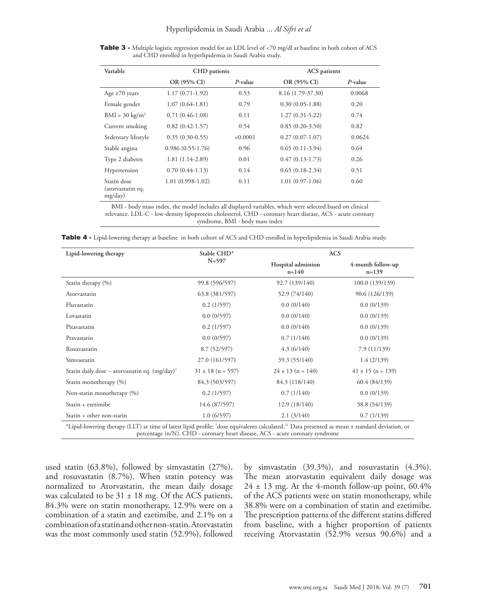Table 3 - Multiple logistic regression model for an LDL level of <70 mg/dl at baseline in both cohort of ACS and CHD enrolled in hyperlipidemia in Saudi Arabia study.

| Variable                                    | CHD patients        |            |                   |            |  | <b>ACS</b> patients |  |
|---------------------------------------------|---------------------|------------|-------------------|------------|--|---------------------|--|
|                                             | OR (95% CI)         | $P$ -value | OR (95% CI)       | $P$ -value |  |                     |  |
| Age $\geq 70$ years                         | $1.17(0.71-1.92)$   | 0.53       | 8.16 (1.79-37.30) | 0.0068     |  |                     |  |
| Female gender                               | $1.07(0.64-1.81)$   | 0.79       | $0.30(0.05-1.88)$ | 0.20       |  |                     |  |
| $BMI > 30 \text{ kg/m}^2$                   | $0.71(0.46-1.08)$   | 0.11       | $1.27(0.31-5.22)$ | 0.74       |  |                     |  |
| Current smoking                             | $0.82(0.42 - 1.57)$ | 0.54       | $0.85(0.20-3.50)$ | 0.82       |  |                     |  |
| Sedentary lifestyle                         | $0.35(0.30-0.55)$   | < 0.0001   | $0.27(0.07-1.07)$ | 0.0624     |  |                     |  |
| Stable angina                               | $0.986(0.55-1.76)$  | 0.96       | $0.65(0.11-3.94)$ | 0.64       |  |                     |  |
| Type 2 diabetes                             | $1.81(1.14-2.89)$   | 0.01       | $0.47(0.13-1.73)$ | 0.26       |  |                     |  |
| Hypertension                                | $0.70(0.44-1.13)$   | 0.14       | $0.65(0.18-2.34)$ | 0.51       |  |                     |  |
| Statin dose<br>(atorvastatin eq.<br>mg/day) | $1.01(0.998-1.02)$  | 0.11       | $1.01(0.97-1.06)$ | 0.60       |  |                     |  |

BMI - body mass index, the model includes all displayed variables, which were selected based on clinical relevance. LDL-C - low-density lipoprotein cholesterol, CHD - coronary heart disease, ACS - acute coronary syndrome, BMI - body mass index

| Hospital admission<br>$n = 140$<br>92.7 (139/140)<br>52.9 (74/140)<br>0.0(0/140)<br>0.0(0/140)<br>0.0(0/140)<br>0.7(1/140) | 4-month follow-up<br>$n=139$<br>100.0 (139/139)<br>90.6 (126/139)<br>0.0(0/139)<br>0.0(0/139)<br>0.0(0/139)<br>0.0(0/139) |
|----------------------------------------------------------------------------------------------------------------------------|---------------------------------------------------------------------------------------------------------------------------|
|                                                                                                                            |                                                                                                                           |
|                                                                                                                            |                                                                                                                           |
|                                                                                                                            |                                                                                                                           |
|                                                                                                                            |                                                                                                                           |
|                                                                                                                            |                                                                                                                           |
|                                                                                                                            |                                                                                                                           |
|                                                                                                                            |                                                                                                                           |
| 4.3(6/140)                                                                                                                 | 7.9 (11/139)                                                                                                              |
| 39.3 (55/140)                                                                                                              | 1.4(2/139)                                                                                                                |
| $24 \pm 13$ (n = 140)                                                                                                      | $41 \pm 15$ (n = 139)                                                                                                     |
| 84.3 (118/140)                                                                                                             | 60.4 (84/139)                                                                                                             |
| 0.7(1/140)                                                                                                                 | 0.0(0/139)                                                                                                                |
| 12.9(18/140)                                                                                                               | 38.8 (54/139)                                                                                                             |
|                                                                                                                            | 0.7(1/139)                                                                                                                |
|                                                                                                                            | 2.1(3/140)                                                                                                                |

Table 4 - Lipid-lowering therapy at baseline in both cohort of ACS and CHD enrolled in hyperlipidemia in Saudi Arabia study.

used statin (63.8%), followed by simvastatin (27%), and rosuvastatin (8.7%). When statin potency was normalized to Atorvastatin, the mean daily dosage was calculated to be  $31 \pm 18$  mg. Of the ACS patients, 84.3% were on statin monotherapy, 12.9% were on a combination of a statin and ezetimibe, and 2.1% on a combination of a statin and other non-statin. Atorvastatin was the most commonly used statin (52.9%), followed

by simvastatin (39.3%), and rosuvastatin (4.3%). The mean atorvastatin equivalent daily dosage was  $24 \pm 13$  mg. At the 4-month follow-up point, 60.4% of the ACS patients were on statin monotherapy, while 38.8% were on a combination of statin and ezetimibe. The prescription patterns of the different statins differed from baseline, with a higher proportion of patients receiving Atorvastatin (52.9% versus 90.6%) and a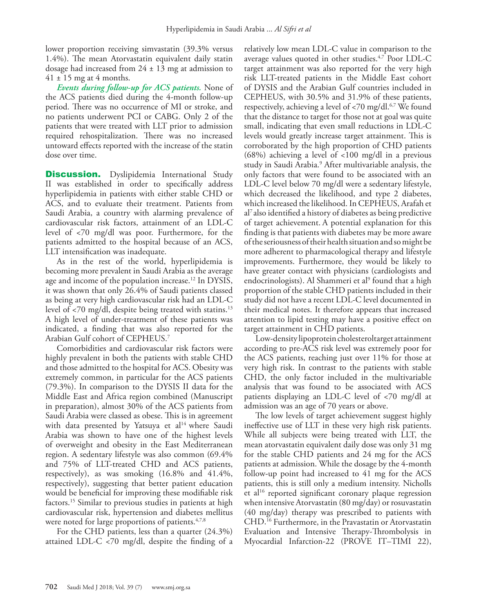lower proportion receiving simvastatin (39.3% versus 1.4%). The mean Atorvastatin equivalent daily statin dosage had increased from  $24 \pm 13$  mg at admission to  $41 \pm 15$  mg at 4 months.

*Events during follow-up for ACS patients.* None of the ACS patients died during the 4-month follow-up period. There was no occurrence of MI or stroke, and no patients underwent PCI or CABG. Only 2 of the patients that were treated with LLT prior to admission required rehospitalization. There was no increased untoward effects reported with the increase of the statin dose over time.

**Discussion.** Dyslipidemia International Study II was established in order to specifically address hyperlipidemia in patients with either stable CHD or ACS, and to evaluate their treatment. Patients from Saudi Arabia, a country with alarming prevalence of cardiovascular risk factors, attainment of an LDL-C level of <70 mg/dl was poor. Furthermore, for the patients admitted to the hospital because of an ACS, LLT intensification was inadequate.

As in the rest of the world, hyperlipidemia is becoming more prevalent in Saudi Arabia as the average age and income of the population increase.<sup>[12](#page-7-5)</sup> In DYSIS, it was shown that only 26.4% of Saudi patients classed as being at very high cardiovascular risk had an LDL-C level of  $\langle 70 \rangle$  mg/dl, despite being treated with statins.<sup>13</sup> A high level of under-treatment of these patients was indicated, a finding that was also reported for the Arabian Gulf cohort of CEPHEUS.[7](#page-7-1)

Comorbidities and cardiovascular risk factors were highly prevalent in both the patients with stable CHD and those admitted to the hospital for ACS. Obesity was extremely common, in particular for the ACS patients (79.3%). In comparison to the DYSIS II data for the Middle East and Africa region combined (Manuscript in preparation), almost 30% of the ACS patients from Saudi Arabia were classed as obese. This is in agreement with data presented by Yatsuya et al<sup>14</sup> where Saudi Arabia was shown to have one of the highest levels of overweight and obesity in the East Mediterranean region. A sedentary lifestyle was also common (69.4% and 75% of LLT-treated CHD and ACS patients, respectively), as was smoking (16.8% and 41.4%, respectively), suggesting that better patient education would be beneficial for improving these modifiable risk factors.15 Similar to previous studies in patients at high cardiovascular risk, hypertension and diabetes mellitus were noted for large proportions of patients.<sup>[4](#page-6-3),[7,](#page-7-1)[8](#page-7-2)</sup>

For the CHD patients, less than a quarter (24.3%) attained LDL-C <70 mg/dl, despite the finding of a

relatively low mean LDL-C value in comparison to the average values quoted in other studies.[4](#page-6-3)[,7](#page-7-1) Poor LDL-C target attainment was also reported for the very high risk LLT-treated patients in the Middle East cohort of DYSIS and the Arabian Gulf countries included in CEPHEUS, with 30.5% and 31.9% of these patients, respectively, achieving a level of  $\langle 70 \text{ mg/d} 1.67 \text{ We found}$  $\langle 70 \text{ mg/d} 1.67 \text{ We found}$  $\langle 70 \text{ mg/d} 1.67 \text{ We found}$ that the distance to target for those not at goal was quite small, indicating that even small reductions in LDL-C levels would greatly increase target attainment. This is corroborated by the high proportion of CHD patients (68%) achieving a level of <100 mg/dl in a previous study in Saudi Arabia.<sup>[9](#page-7-3)</sup> After multivariable analysis, the only factors that were found to be associated with an LDL-C level below 70 mg/dl were a sedentary lifestyle, which decreased the likelihood, and type 2 diabetes, which increased the likelihood. In CEPHEUS, Arafah et al7 also identified a history of diabetes as being predictive of target achievement. A potential explanation for this finding is that patients with diabetes may be more aware of the seriousness of their health situation and so might be more adherent to pharmacological therapy and lifestyle improvements. Furthermore, they would be likely to have greater contact with physicians (cardiologists and endocrinologists). Al Shammeri et al<sup>[9](#page-7-3)</sup> found that a high proportion of the stable CHD patients included in their study did not have a recent LDL-C level documented in their medical notes. It therefore appears that increased attention to lipid testing may have a positive effect on target attainment in CHD patients.

Low-density lipoprotein cholesteroltarget attainment according to pre-ACS risk level was extremely poor for the ACS patients, reaching just over 11% for those at very high risk. In contrast to the patients with stable CHD, the only factor included in the multivariable analysis that was found to be associated with ACS patients displaying an LDL-C level of <70 mg/dl at admission was an age of 70 years or above.

The low levels of target achievement suggest highly ineffective use of LLT in these very high risk patients. While all subjects were being treated with LLT, the mean atorvastatin equivalent daily dose was only 31 mg for the stable CHD patients and 24 mg for the ACS patients at admission. While the dosage by the 4-month follow-up point had increased to 41 mg for the ACS patients, this is still only a medium intensity. Nicholls et al<sup>[16](#page-7-6)</sup> reported significant coronary plaque regression when intensive Atorvastatin (80 mg/day) or rosuvastatin (40 mg/day) therapy was prescribed to patients with CHD.[16](#page-7-6) Furthermore, in the Pravastatin or Atorvastatin Evaluation and Intensive Therapy-Thrombolysis in Myocardial Infarction-22 (PROVE IT–TIMI 22),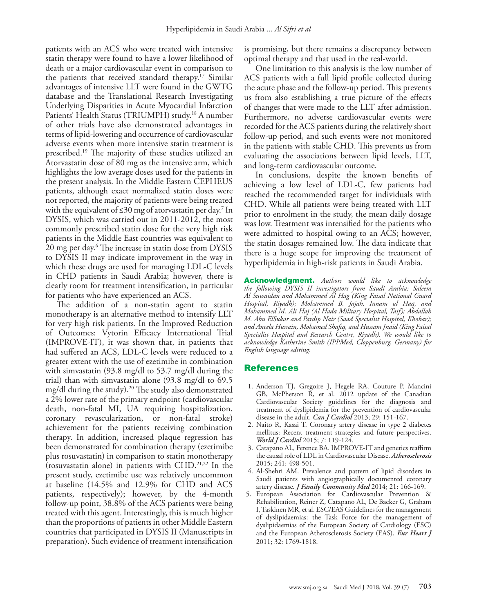patients with an ACS who were treated with intensive statin therapy were found to have a lower likelihood of death or a major cardiovascular event in comparison to the patients that received standard therapy.[17](#page-7-7) Similar advantages of intensive LLT were found in the GWTG database and the Translational Research Investigating Underlying Disparities in Acute Myocardial Infarction Patients' Health Status (TRIUMPH) study[.18](#page-7-8) A number of other trials have also demonstrated advantages in terms of lipid-lowering and occurrence of cardiovascular adverse events when more intensive statin treatment is prescribed.[19](#page-7-9) The majority of these studies utilized an Atorvastatin dose of 80 mg as the intensive arm, which highlights the low average doses used for the patients in the present analysis. In the Middle Eastern CEPHEUS patients, although exact normalized statin doses were not reported, the majority of patients were being treated with the equivalent of ≤30 mg of atorvastatin per day.<sup>7</sup> In DYSIS, which was carried out in 2011-2012, the most commonly prescribed statin dose for the very high risk patients in the Middle East countries was equivalent to 20 mg per day[.6](#page-7-0) The increase in statin dose from DYSIS to DYSIS II may indicate improvement in the way in which these drugs are used for managing LDL-C levels in CHD patients in Saudi Arabia; however, there is clearly room for treatment intensification, in particular for patients who have experienced an ACS.

The addition of a non-statin agent to statin monotherapy is an alternative method to intensify LLT for very high risk patients. In the Improved Reduction of Outcomes: Vytorin Efficacy International Trial (IMPROVE-IT), it was shown that, in patients that had suffered an ACS, LDL-C levels were reduced to a greater extent with the use of ezetimibe in combination with simvastatin (93.8 mg/dl to 53.7 mg/dl during the trial) than with simvastatin alone (93.8 mg/dl to 69.5 mg/dl during the study).[20](#page-7-10) The study also demonstrated a 2% lower rate of the primary endpoint (cardiovascular death, non-fatal MI, UA requiring hospitalization, coronary revascularization, or non-fatal stroke) achievement for the patients receiving combination therapy. In addition, increased plaque regression has been demonstrated for combination therapy (ezetimibe plus rosuvastatin) in comparison to statin monotherapy (rosuvastatin alone) in patients with CHD[.21,](#page-7-11)[22](#page-7-12) In the present study, ezetimibe use was relatively uncommon at baseline (14.5% and 12.9% for CHD and ACS patients, respectively); however, by the 4-month follow-up point, 38.8% of the ACS patients were being treated with this agent. Interestingly, this is much higher than the proportions of patients in other Middle Eastern countries that participated in DYSIS II (Manuscripts in preparation). Such evidence of treatment intensification

is promising, but there remains a discrepancy between optimal therapy and that used in the real-world.

One limitation to this analysis is the low number of ACS patients with a full lipid profile collected during the acute phase and the follow-up period. This prevents us from also establishing a true picture of the effects of changes that were made to the LLT after admission. Furthermore, no adverse cardiovascular events were recorded for the ACS patients during the relatively short follow-up period, and such events were not monitored in the patients with stable CHD. This prevents us from evaluating the associations between lipid levels, LLT, and long-term cardiovascular outcome.

In conclusions, despite the known benefits of achieving a low level of LDL-C, few patients had reached the recommended target for individuals with CHD. While all patients were being treated with LLT prior to enrolment in the study, the mean daily dosage was low. Treatment was intensified for the patients who were admitted to hospital owing to an ACS; however, the statin dosages remained low. The data indicate that there is a huge scope for improving the treatment of hyperlipidemia in high-risk patients in Saudi Arabia.

Acknowledgment. *Authors would like to acknowledge the following DYSIS II investigators from Saudi Arabia: Saleem Al Suwaidan and Mohammed Al Hag (King Faisal National Guard Hospital, Riyadh); Mohammed B. Jajah, Innam ul Haq, and Mohammed M. Ali Haj (Al Hada Military Hospital, Taif); Abdallah M. Abu ElSukar and Pardip Nair (Saad Specialist Hospital, Khobar); and Aneela Hussain, Mohamed Shafiq, and Hussam Jnaid (King Faisal Specialist Hospital and Research Centre, Riyadh). We would like to acknowledge Katherine Smith (IPPMed, Cloppenburg, Germany) for English language editing.*

## References

- <span id="page-6-0"></span> 1. [Anderson TJ, Gregoire J, Hegele RA, Couture P, Mancini](doi: 10.1016/j.cjca.2012.11.032.) [GB, McPherson R, et al. 2012 update of the Canadian](doi: 10.1016/j.cjca.2012.11.032.) [Cardiovascular Society guidelines for the diagnosis and](doi: 10.1016/j.cjca.2012.11.032.) [treatment of dyslipidemia for the prevention of cardiovascular](doi: 10.1016/j.cjca.2012.11.032.) disease in the adult. *Can J Cardiol* [2013; 29: 151-167.](doi: 10.1016/j.cjca.2012.11.032.)
- <span id="page-6-1"></span> 2. [Naito R, Kasai T. Coronary artery disease in type 2 diabetes](https://doi.org/10.4330/wjc.v7.i3.119) [mellitus: Recent treatment strategies and future perspectives.](https://doi.org/10.4330/wjc.v7.i3.119) *World J Cardiol* [2015; 7: 119-124.](https://doi.org/10.4330/wjc.v7.i3.119)
- <span id="page-6-2"></span> 3. [Catapano AL, Ference BA. IMPROVE-IT and genetics reaffirm](https://doi.org/10.1016/j.atherosclerosis.2015.06.008) [the causal role of LDL in Cardiovascular Disease.](https://doi.org/10.1016/j.atherosclerosis.2015.06.008) *Atherosclerosis* [2015; 241: 498-501.](https://doi.org/10.1016/j.atherosclerosis.2015.06.008)
- <span id="page-6-3"></span> 4. [Al-Shehri AM. Prevalence and pattern of lipid disorders in](https://doi.org/10.4103/2230-8229.142970) [Saudi patients with angiographically documented coronary](https://doi.org/10.4103/2230-8229.142970) artery disease. *[J Family Community Med](https://doi.org/10.4103/2230-8229.142970)* 2014; 21: 166-169.
- <span id="page-6-4"></span> 5. [European Association for Cardiovascular Prevention &](https://doi.org/10.1093/eurheartj/ehr158) [Rehabilitation, Reiner Z, Catapano AL, De Backer G, Graham](https://doi.org/10.1093/eurheartj/ehr158) [I, Taskinen MR, et al. ESC/EAS Guidelines for the management](https://doi.org/10.1093/eurheartj/ehr158) [of dyslipidaemias: the Task Force for the management of](https://doi.org/10.1093/eurheartj/ehr158) [dyslipidaemias of the European Society of Cardiology \(ESC\)](https://doi.org/10.1093/eurheartj/ehr158) [and the European Atherosclerosis Society \(EAS\).](https://doi.org/10.1093/eurheartj/ehr158) *Eur Heart J* [2011; 32: 1769-1818.](https://doi.org/10.1093/eurheartj/ehr158)